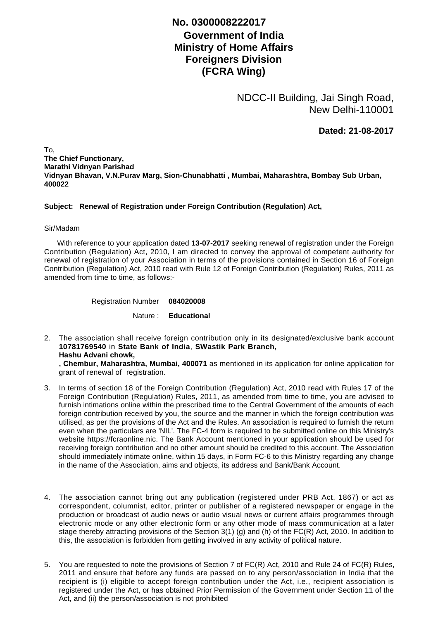## **No. 0300008222017**

## **Government of India Ministry of Home Affairs Foreigners Division (FCRA Wing)**

NDCC-II Building, Jai Singh Road, New Delhi-110001

**Dated: 21-08-2017**

To, **The Chief Functionary, Marathi Vidnyan Parishad Vidnyan Bhavan, V.N.Purav Marg, Sion-Chunabhatti , Mumbai, Maharashtra, Bombay Sub Urban, 400022**

## **Subject: Renewal of Registration under Foreign Contribution (Regulation) Act,**

## Sir/Madam

 With reference to your application dated **13-07-2017** seeking renewal of registration under the Foreign Contribution (Regulation) Act, 2010, I am directed to convey the approval of competent authority for renewal of registration of your Association in terms of the provisions contained in Section 16 of Foreign Contribution (Regulation) Act, 2010 read with Rule 12 of Foreign Contribution (Regulation) Rules, 2011 as amended from time to time, as follows:-

Registration Number **084020008**

Nature : **Educational**

The association shall receive foreign contribution only in its designated/exclusive bank account 2. **10781769540** in **State Bank of India**, **SWastik Park Branch, Hashu Advani chowk, , Chembur, Maharashtra, Mumbai, 400071** as mentioned in its application for online application for

grant of renewal of registration.

- 3. In terms of section 18 of the Foreign Contribution (Regulation) Act, 2010 read with Rules 17 of the Foreign Contribution (Regulation) Rules, 2011, as amended from time to time, you are advised to furnish intimations online within the prescribed time to the Central Government of the amounts of each foreign contribution received by you, the source and the manner in which the foreign contribution was utilised, as per the provisions of the Act and the Rules. An association is required to furnish the return even when the particulars are 'NIL'. The FC-4 form is required to be submitted online on this Ministry's website https://fcraonline.nic. The Bank Account mentioned in your application should be used for receiving foreign contribution and no other amount should be credited to this account. The Association should immediately intimate online, within 15 days, in Form FC-6 to this Ministry regarding any change in the name of the Association, aims and objects, its address and Bank/Bank Account.
- 4. The association cannot bring out any publication (registered under PRB Act, 1867) or act as correspondent, columnist, editor, printer or publisher of a registered newspaper or engage in the production or broadcast of audio news or audio visual news or current affairs programmes through electronic mode or any other electronic form or any other mode of mass communication at a later stage thereby attracting provisions of the Section 3(1) (g) and (h) of the FC(R) Act, 2010. In addition to this, the association is forbidden from getting involved in any activity of political nature.
- 5. You are requested to note the provisions of Section 7 of FC(R) Act, 2010 and Rule 24 of FC(R) Rules, 2011 and ensure that before any funds are passed on to any person/association in India that the recipient is (i) eligible to accept foreign contribution under the Act, i.e., recipient association is registered under the Act, or has obtained Prior Permission of the Government under Section 11 of the Act, and (ii) the person/association is not prohibited